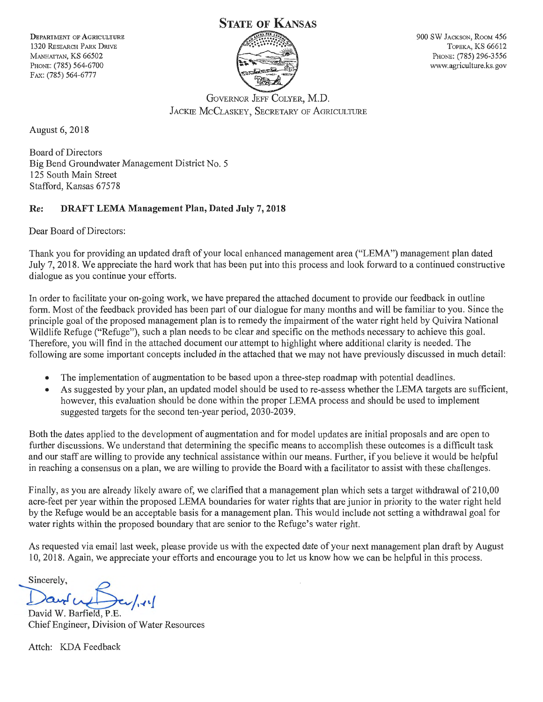**DEPARTMENT OF AGRICULTURE** 1320 RESEARCH PARK DRIVE MANHATTAN, KS 66502 PHONE: (785) 564-6700 FAX: (785) 564-6777

# STATE OF KANSAS



900 SW JACKSON, ROOM 456 TOPEKA, KS 66612 PHONE: (785) 296-3556 www.agriculture.ks.gov

GOVERNOR JEFF COLYER, M.D. JACKIE McCLASKEY, SECRETARY OF AGRICULTURE

August 6, 2018

Board of Directors Big Bend Groundwater Management District No. 5 125 South Main Street Stafford, Kansas 67578

# Re: DRAFT LEMA Management Plan, Dated July 7, 2018

Dear Board of Directors:

Thank you for providing an updated draft of your local enhanced management area ("LEMA") management plan dated July 7, 2018. We appreciate the hard work that has been put into this process and look forward to a continued constructive dialogue as you continue your efforts.

In order to facilitate your on-going work, we have prepared the attached document to provide our feedback in outline form. Most of the feedback provided has been part of our dialogue for many months and will be familiar to you. Since the principle goal of the proposed management plan is to remedy the impairment of the water right held by Quivira National Wildlife Refuge ("Refuge"), such a plan needs to be clear and specific on the methods necessary to achieve this goal. Therefore, you will find in the attached document our attempt to highlight where additional clarity is needed. The following are some important concepts included in the attached that we may not have previously discussed in much detail:

- The implementation of augmentation to be based upon a three-step roadmap with potential deadlines.
- As suggested by your plan, an updated model should be used to re-assess whether the LEMA targets are sufficient, however, this evaluation should be done within the proper LEMA process and should be used to implement suggested targets for the second ten-year period, 2030-2039.

Both the dates applied to the development of augmentation and for model updates are initial proposals and are open to further discussions. We understand that determining the specific means to accomplish these outcomes is a difficult task and our staff are willing to provide any technical assistance within our means. Further, if you believe it would be helpful in reaching a consensus on a plan, we are willing to provide the Board with a facilitator to assist with these challenges.

Finally, as you are already likely aware of, we clarified that a management plan which sets a target withdrawal of 210,00 acre-feet per year within the proposed LEMA boundaries for water rights that are junior in priority to the water right held by the Refuge would be an acceptable basis for a management plan. This would include not setting a withdrawal goal for water rights within the proposed boundary that are senior to the Refuge's water right.

As requested via email last week, please provide us with the expected date of your next management plan draft by August 10, 2018. Again, we appreciate your efforts and encourage you to let us know how we can be helpful in this process.

Sincerely,

--s:, David W. Barfield, P.E.

Chief Engineer, Division of Water Resources

Attch: KDA Feedback